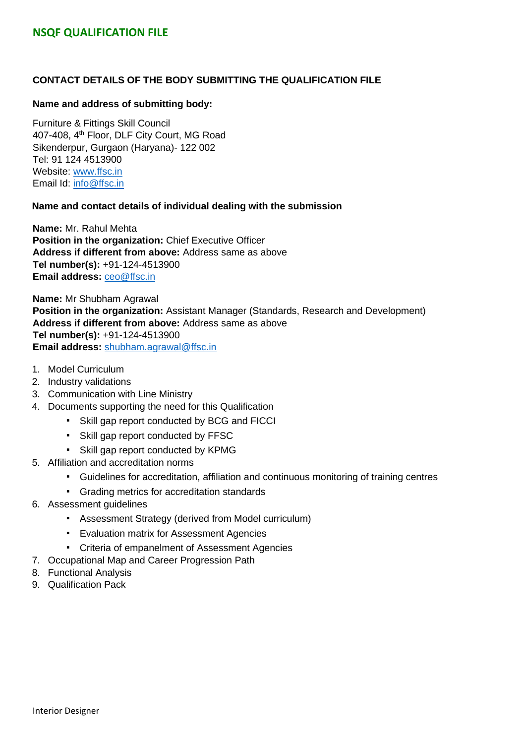#### **CONTACT DETAILS OF THE BODY SUBMITTING THE QUALIFICATION FILE**

#### **Name and address of submitting body:**

Furniture & Fittings Skill Council 407-408, 4<sup>th</sup> Floor, DLF City Court, MG Road Sikenderpur, Gurgaon (Haryana)- 122 002 Tel: 91 124 4513900 Website: [www.ffsc.in](http://www.ffsc.in/) Email Id: [info@ffsc.in](mailto:info@ffsc.in)

#### **Name and contact details of individual dealing with the submission**

**Name:** Mr. Rahul Mehta **Position in the organization:** Chief Executive Officer **Address if different from above:** Address same as above **Tel number(s):** +91-124-4513900 **Email address:** [ceo@ffsc.in](mailto:ceo@ffsc.in)

**Name:** Mr Shubham Agrawal **Position in the organization:** Assistant Manager (Standards, Research and Development) **Address if different from above:** Address same as above **Tel number(s):** +91-124-4513900 **Email address:** shubham.agrawal@ffsc.in

- 1. Model Curriculum
- 2. Industry validations
- 3. Communication with Line Ministry
- 4. Documents supporting the need for this Qualification
	- Skill gap report conducted by BCG and FICCI
	- Skill gap report conducted by FFSC
	- Skill gap report conducted by KPMG
- 5. Affiliation and accreditation norms
	- Guidelines for accreditation, affiliation and continuous monitoring of training centres
	- Grading metrics for accreditation standards
- 6. Assessment guidelines
	- Assessment Strategy (derived from Model curriculum)
	- Evaluation matrix for Assessment Agencies
	- Criteria of empanelment of Assessment Agencies
- 7. Occupational Map and Career Progression Path
- 8. Functional Analysis
- 9. Qualification Pack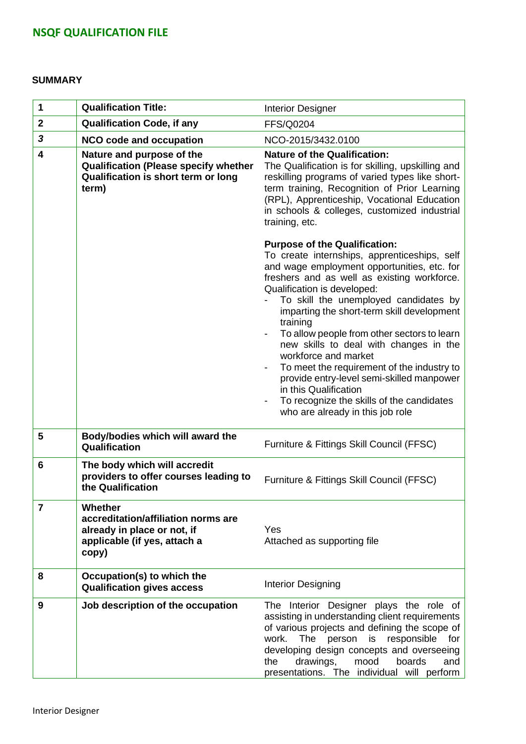#### **SUMMARY**

| 1              | <b>Qualification Title:</b>                                                                                               | <b>Interior Designer</b>                                                                                                                                                                                                                                                                                                                                                                                                                                                                                                                                                                                                                   |
|----------------|---------------------------------------------------------------------------------------------------------------------------|--------------------------------------------------------------------------------------------------------------------------------------------------------------------------------------------------------------------------------------------------------------------------------------------------------------------------------------------------------------------------------------------------------------------------------------------------------------------------------------------------------------------------------------------------------------------------------------------------------------------------------------------|
| $\mathbf{2}$   | <b>Qualification Code, if any</b>                                                                                         | <b>FFS/Q0204</b>                                                                                                                                                                                                                                                                                                                                                                                                                                                                                                                                                                                                                           |
| 3              | <b>NCO code and occupation</b>                                                                                            | NCO-2015/3432.0100                                                                                                                                                                                                                                                                                                                                                                                                                                                                                                                                                                                                                         |
| 4              | Nature and purpose of the<br><b>Qualification (Please specify whether</b><br>Qualification is short term or long<br>term) | <b>Nature of the Qualification:</b><br>The Qualification is for skilling, upskilling and<br>reskilling programs of varied types like short-<br>term training, Recognition of Prior Learning<br>(RPL), Apprenticeship, Vocational Education<br>in schools & colleges, customized industrial<br>training, etc.                                                                                                                                                                                                                                                                                                                               |
|                |                                                                                                                           | <b>Purpose of the Qualification:</b><br>To create internships, apprenticeships, self<br>and wage employment opportunities, etc. for<br>freshers and as well as existing workforce.<br>Qualification is developed:<br>To skill the unemployed candidates by<br>imparting the short-term skill development<br>training<br>To allow people from other sectors to learn<br>new skills to deal with changes in the<br>workforce and market<br>To meet the requirement of the industry to<br>provide entry-level semi-skilled manpower<br>in this Qualification<br>To recognize the skills of the candidates<br>who are already in this job role |
| 5              | Body/bodies which will award the<br>Qualification                                                                         | Furniture & Fittings Skill Council (FFSC)                                                                                                                                                                                                                                                                                                                                                                                                                                                                                                                                                                                                  |
| 6              | The body which will accredit<br>providers to offer courses leading to<br>the Qualification                                | Furniture & Fittings Skill Council (FFSC)                                                                                                                                                                                                                                                                                                                                                                                                                                                                                                                                                                                                  |
| $\overline{7}$ | Whether<br>accreditation/affiliation norms are<br>already in place or not, if<br>applicable (if yes, attach a<br>copy)    | Yes<br>Attached as supporting file                                                                                                                                                                                                                                                                                                                                                                                                                                                                                                                                                                                                         |
| 8              | Occupation(s) to which the<br><b>Qualification gives access</b>                                                           | <b>Interior Designing</b>                                                                                                                                                                                                                                                                                                                                                                                                                                                                                                                                                                                                                  |
| 9              | Job description of the occupation                                                                                         | The Interior Designer plays the role of<br>assisting in understanding client requirements<br>of various projects and defining the scope of<br>responsible<br>work.<br><b>The</b><br>person<br>is<br>for<br>developing design concepts and overseeing<br>drawings,<br>mood<br>boards<br>the<br>and<br>presentations. The individual will perform                                                                                                                                                                                                                                                                                            |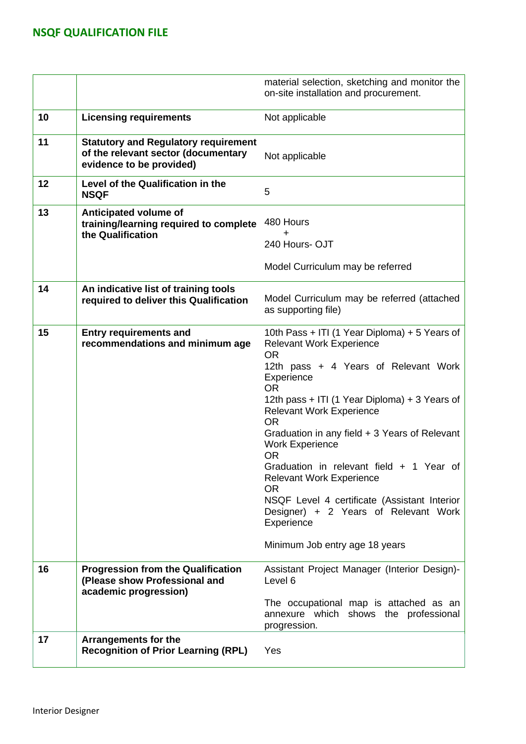|    |                                                                                                                | material selection, sketching and monitor the<br>on-site installation and procurement.                                                                                                                                                                                                                                                                                                                                                                                                                                                                                                        |
|----|----------------------------------------------------------------------------------------------------------------|-----------------------------------------------------------------------------------------------------------------------------------------------------------------------------------------------------------------------------------------------------------------------------------------------------------------------------------------------------------------------------------------------------------------------------------------------------------------------------------------------------------------------------------------------------------------------------------------------|
| 10 | <b>Licensing requirements</b>                                                                                  | Not applicable                                                                                                                                                                                                                                                                                                                                                                                                                                                                                                                                                                                |
| 11 | <b>Statutory and Regulatory requirement</b><br>of the relevant sector (documentary<br>evidence to be provided) | Not applicable                                                                                                                                                                                                                                                                                                                                                                                                                                                                                                                                                                                |
| 12 | Level of the Qualification in the<br><b>NSQF</b>                                                               | 5                                                                                                                                                                                                                                                                                                                                                                                                                                                                                                                                                                                             |
| 13 | Anticipated volume of<br>training/learning required to complete<br>the Qualification                           | 480 Hours<br>+<br>240 Hours-OJT<br>Model Curriculum may be referred                                                                                                                                                                                                                                                                                                                                                                                                                                                                                                                           |
| 14 | An indicative list of training tools<br>required to deliver this Qualification                                 | Model Curriculum may be referred (attached<br>as supporting file)                                                                                                                                                                                                                                                                                                                                                                                                                                                                                                                             |
| 15 | <b>Entry requirements and</b><br>recommendations and minimum age                                               | 10th Pass + ITI (1 Year Diploma) + 5 Years of<br><b>Relevant Work Experience</b><br><b>OR</b><br>12th pass + 4 Years of Relevant Work<br>Experience<br><b>OR</b><br>12th pass + ITI (1 Year Diploma) + 3 Years of<br><b>Relevant Work Experience</b><br><b>OR</b><br>Graduation in any field + 3 Years of Relevant<br><b>Work Experience</b><br><b>OR</b><br>Graduation in relevant field + 1 Year of<br><b>Relevant Work Experience</b><br><b>OR</b><br>NSQF Level 4 certificate (Assistant Interior<br>Designer) + 2 Years of Relevant Work<br>Experience<br>Minimum Job entry age 18 years |
| 16 | <b>Progression from the Qualification</b><br>(Please show Professional and<br>academic progression)            | Assistant Project Manager (Interior Design)-<br>Level 6<br>The occupational map is attached as an<br>annexure which shows the professional<br>progression.                                                                                                                                                                                                                                                                                                                                                                                                                                    |
| 17 | <b>Arrangements for the</b><br><b>Recognition of Prior Learning (RPL)</b>                                      | Yes                                                                                                                                                                                                                                                                                                                                                                                                                                                                                                                                                                                           |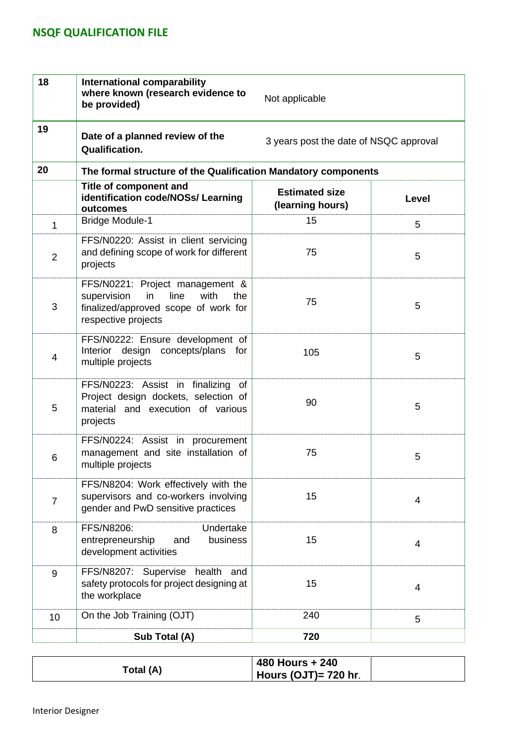| 18             | <b>International comparability</b><br>where known (research evidence to<br>Not applicable<br>be provided)                                  |                                           |                |  |  |
|----------------|--------------------------------------------------------------------------------------------------------------------------------------------|-------------------------------------------|----------------|--|--|
| 19             | Date of a planned review of the<br><b>Qualification.</b>                                                                                   | 3 years post the date of NSQC approval    |                |  |  |
| 20             | The formal structure of the Qualification Mandatory components                                                                             |                                           |                |  |  |
|                | Title of component and<br>identification code/NOSs/ Learning<br>outcomes                                                                   | <b>Estimated size</b><br>(learning hours) | <b>Level</b>   |  |  |
| 1              | <b>Bridge Module-1</b>                                                                                                                     | 15                                        | 5              |  |  |
| $\overline{2}$ | FFS/N0220: Assist in client servicing<br>and defining scope of work for different<br>projects                                              | 75                                        | 5              |  |  |
| 3              | FFS/N0221: Project management &<br>supervision<br>line<br>with<br>in<br>the<br>finalized/approved scope of work for<br>respective projects | 75                                        | 5              |  |  |
| 4              | FFS/N0222: Ensure development of<br>Interior design<br>concepts/plans for<br>multiple projects                                             | 105                                       | 5              |  |  |
| 5              | FFS/N0223: Assist in finalizing of<br>Project design dockets, selection of<br>material and execution of various<br>projects                | 90                                        | 5              |  |  |
| 6              | FFS/N0224: Assist in procurement<br>management and site installation of<br>multiple projects                                               | 75                                        | 5              |  |  |
| $\overline{7}$ | FFS/N8204: Work effectively with the<br>supervisors and co-workers involving<br>gender and PwD sensitive practices                         | 15                                        | $\overline{4}$ |  |  |
| 8              | FFS/N8206:<br>Undertake<br>business<br>entrepreneurship<br>and<br>development activities                                                   | 15                                        | $\overline{4}$ |  |  |
| 9              | FFS/N8207: Supervise health<br>and<br>safety protocols for project designing at<br>the workplace                                           | 15                                        | 4              |  |  |
| 10             | On the Job Training (OJT)                                                                                                                  | 240                                       | 5              |  |  |
|                | Sub Total (A)                                                                                                                              | 720                                       |                |  |  |

|           | 480 Hours + 240                     |  |
|-----------|-------------------------------------|--|
| Total (A) | $\overline{ }$ Hours (OJT)= 720 hr. |  |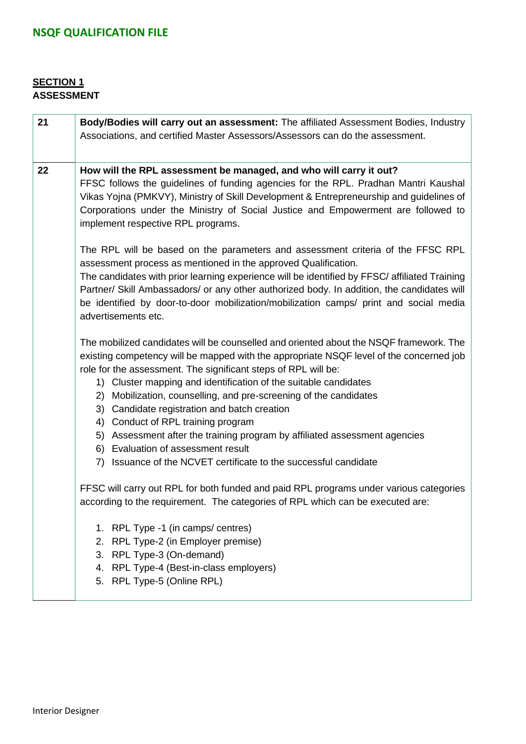### **SECTION 1 ASSESSMENT**

| 21 | Body/Bodies will carry out an assessment: The affiliated Assessment Bodies, Industry<br>Associations, and certified Master Assessors/Assessors can do the assessment.                                                                                                                                                                                                                                                                                                                                                                                                                                                                                                                                                                                                                                                                                                                                                               |  |  |  |  |  |  |
|----|-------------------------------------------------------------------------------------------------------------------------------------------------------------------------------------------------------------------------------------------------------------------------------------------------------------------------------------------------------------------------------------------------------------------------------------------------------------------------------------------------------------------------------------------------------------------------------------------------------------------------------------------------------------------------------------------------------------------------------------------------------------------------------------------------------------------------------------------------------------------------------------------------------------------------------------|--|--|--|--|--|--|
| 22 | How will the RPL assessment be managed, and who will carry it out?<br>FFSC follows the guidelines of funding agencies for the RPL. Pradhan Mantri Kaushal<br>Vikas Yojna (PMKVY), Ministry of Skill Development & Entrepreneurship and guidelines of<br>Corporations under the Ministry of Social Justice and Empowerment are followed to<br>implement respective RPL programs.                                                                                                                                                                                                                                                                                                                                                                                                                                                                                                                                                     |  |  |  |  |  |  |
|    | The RPL will be based on the parameters and assessment criteria of the FFSC RPL<br>assessment process as mentioned in the approved Qualification.<br>The candidates with prior learning experience will be identified by FFSC/ affiliated Training<br>Partner/ Skill Ambassadors/ or any other authorized body. In addition, the candidates will<br>be identified by door-to-door mobilization/mobilization camps/ print and social media<br>advertisements etc.                                                                                                                                                                                                                                                                                                                                                                                                                                                                    |  |  |  |  |  |  |
|    | The mobilized candidates will be counselled and oriented about the NSQF framework. The<br>existing competency will be mapped with the appropriate NSQF level of the concerned job<br>role for the assessment. The significant steps of RPL will be:<br>1) Cluster mapping and identification of the suitable candidates<br>2) Mobilization, counselling, and pre-screening of the candidates<br>3) Candidate registration and batch creation<br>4) Conduct of RPL training program<br>5) Assessment after the training program by affiliated assessment agencies<br>6) Evaluation of assessment result<br>7) Issuance of the NCVET certificate to the successful candidate<br>FFSC will carry out RPL for both funded and paid RPL programs under various categories<br>according to the requirement. The categories of RPL which can be executed are:<br>1. RPL Type -1 (in camps/ centres)<br>2. RPL Type-2 (in Employer premise) |  |  |  |  |  |  |
|    | 3. RPL Type-3 (On-demand)<br>4. RPL Type-4 (Best-in-class employers)<br>5. RPL Type-5 (Online RPL)                                                                                                                                                                                                                                                                                                                                                                                                                                                                                                                                                                                                                                                                                                                                                                                                                                  |  |  |  |  |  |  |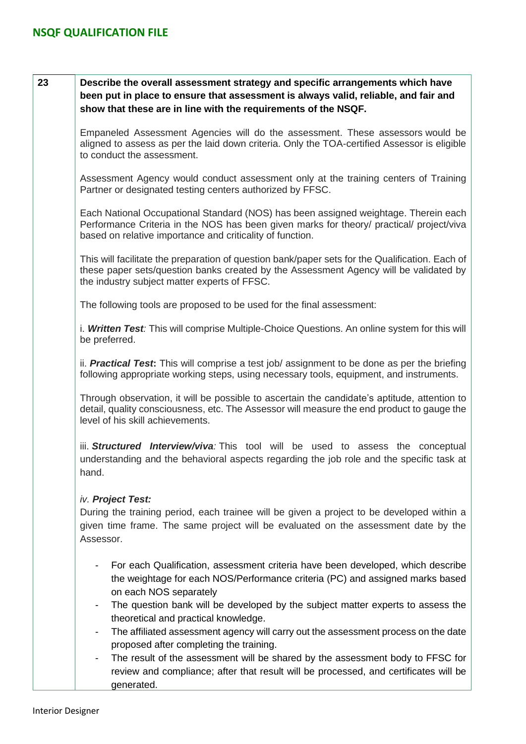### **23 Describe the overall assessment strategy and specific arrangements which have been put in place to ensure that assessment is always valid, reliable, and fair and show that these are in line with the requirements of the NSQF.**

Empaneled Assessment Agencies will do the assessment. These assessors would be aligned to assess as per the laid down criteria. Only the TOA-certified Assessor is eligible to conduct the assessment.

Assessment Agency would conduct assessment only at the training centers of Training Partner or designated testing centers authorized by FFSC.

Each National Occupational Standard (NOS) has been assigned weightage. Therein each Performance Criteria in the NOS has been given marks for theory/ practical/ project/viva based on relative importance and criticality of function.

This will facilitate the preparation of question bank/paper sets for the Qualification. Each of these paper sets/question banks created by the Assessment Agency will be validated by the industry subject matter experts of FFSC.

The following tools are proposed to be used for the final assessment:

i. *Written Test:* This will comprise Multiple-Choice Questions. An online system for this will be preferred.

ii. *Practical Test***:** This will comprise a test job/ assignment to be done as per the briefing following appropriate working steps, using necessary tools, equipment, and instruments.

Through observation, it will be possible to ascertain the candidate's aptitude, attention to detail, quality consciousness, etc. The Assessor will measure the end product to gauge the level of his skill achievements.

iii. *Structured Interview/viva:* This tool will be used to assess the conceptual understanding and the behavioral aspects regarding the job role and the specific task at hand.

### *iv. Project Test:*

During the training period, each trainee will be given a project to be developed within a given time frame. The same project will be evaluated on the assessment date by the Assessor.

- For each Qualification, assessment criteria have been developed, which describe the weightage for each NOS/Performance criteria (PC) and assigned marks based on each NOS separately
- The question bank will be developed by the subject matter experts to assess the theoretical and practical knowledge.
- The affiliated assessment agency will carry out the assessment process on the date proposed after completing the training.
- The result of the assessment will be shared by the assessment body to FFSC for review and compliance; after that result will be processed, and certificates will be generated.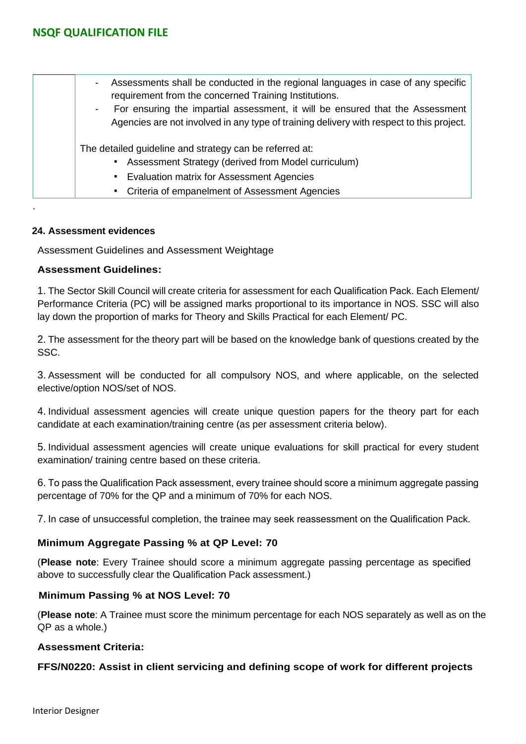| Assessments shall be conducted in the regional languages in case of any specific<br>$\blacksquare$<br>requirement from the concerned Training Institutions. |
|-------------------------------------------------------------------------------------------------------------------------------------------------------------|
| For ensuring the impartial assessment, it will be ensured that the Assessment                                                                               |
| Agencies are not involved in any type of training delivery with respect to this project.                                                                    |
| The detailed guideline and strategy can be referred at:<br>• Assessment Strategy (derived from Model curriculum)                                            |
| п.                                                                                                                                                          |
| • Criteria of empanelment of Assessment Agencies                                                                                                            |
|                                                                                                                                                             |
| <b>Evaluation matrix for Assessment Agencies</b>                                                                                                            |

#### **24. Assessment evidences**

Assessment Guidelines and Assessment Weightage

#### **Assessment Guidelines:**

1. The Sector Skill Council will create criteria for assessment for each Qualification Pack. Each Element/ Performance Criteria (PC) will be assigned marks proportional to its importance in NOS. SSC will also lay down the proportion of marks for Theory and Skills Practical for each Element/ PC.

2. The assessment for the theory part will be based on the knowledge bank of questions created by the SSC.

3. Assessment will be conducted for all compulsory NOS, and where applicable, on the selected elective/option NOS/set of NOS.

4. Individual assessment agencies will create unique question papers for the theory part for each candidate at each examination/training centre (as per assessment criteria below).

5. Individual assessment agencies will create unique evaluations for skill practical for every student examination/ training centre based on these criteria.

6. To pass the Qualification Pack assessment, every trainee should score a minimum aggregate passing percentage of 70% for the QP and a minimum of 70% for each NOS.

7. In case of unsuccessful completion, the trainee may seek reassessment on the Qualification Pack.

### **Minimum Aggregate Passing % at QP Level: 70**

(**Please note**: Every Trainee should score a minimum aggregate passing percentage as specified above to successfully clear the Qualification Pack assessment.)

#### **Minimum Passing % at NOS Level: 70**

(**Please note**: A Trainee must score the minimum percentage for each NOS separately as well as on the QP as a whole.)

### **Assessment Criteria:**

### **FFS/N0220: Assist in client servicing and defining scope of work for different projects**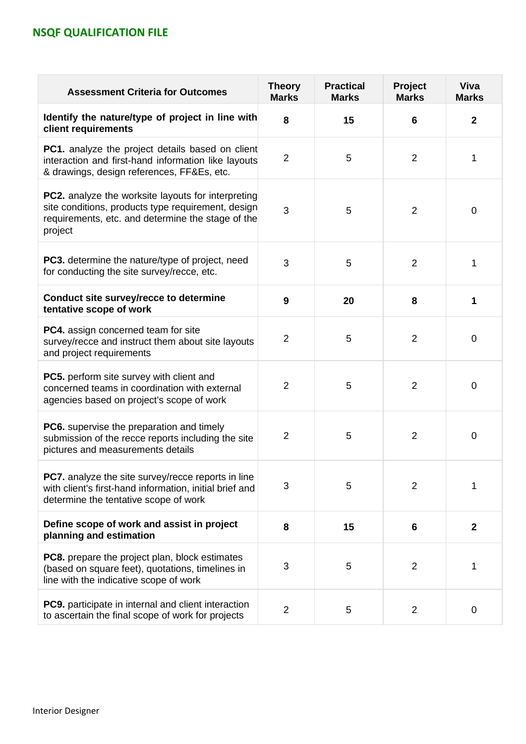| <b>Assessment Criteria for Outcomes</b>                                                                                                                                         | <b>Theory</b><br><b>Marks</b> | <b>Practical</b><br><b>Marks</b> | Project<br><b>Marks</b> | Viva<br><b>Marks</b> |
|---------------------------------------------------------------------------------------------------------------------------------------------------------------------------------|-------------------------------|----------------------------------|-------------------------|----------------------|
| Identify the nature/type of project in line with<br>client requirements                                                                                                         | 8                             | 15                               | 6                       | $\mathbf{2}$         |
| <b>PC1.</b> analyze the project details based on client<br>interaction and first-hand information like layouts<br>& drawings, design references, FF&Es, etc.                    | $\overline{2}$                | 5                                | $\overline{2}$          | 1                    |
| <b>PC2.</b> analyze the worksite layouts for interpreting<br>site conditions, products type requirement, design<br>requirements, etc. and determine the stage of the<br>project | 3                             | 5                                | $\overline{2}$          | $\mathbf 0$          |
| <b>PC3.</b> determine the nature/type of project, need<br>for conducting the site survey/recce, etc.                                                                            | 3                             | 5                                | $\overline{2}$          | 1                    |
| Conduct site survey/recce to determine<br>tentative scope of work                                                                                                               | 9                             | 20                               | 8                       | 1                    |
| PC4. assign concerned team for site<br>survey/recce and instruct them about site layouts<br>and project requirements                                                            | $\overline{2}$                | 5                                | $\overline{2}$          | 0                    |
| PC5. perform site survey with client and<br>concerned teams in coordination with external<br>agencies based on project's scope of work                                          | $\overline{2}$                | 5                                | $\overline{2}$          | 0                    |
| <b>PC6.</b> supervise the preparation and timely<br>submission of the recce reports including the site<br>pictures and measurements details                                     | 2                             | 5                                | $\overline{2}$          | $\overline{0}$       |
| <b>PC7.</b> analyze the site survey/recce reports in line<br>with client's first-hand information, initial brief and<br>determine the tentative scope of work                   | 3                             | 5                                | $\overline{2}$          | 1                    |
| Define scope of work and assist in project<br>planning and estimation                                                                                                           | 8                             | 15                               | $6\phantom{1}$          | $\mathbf{2}$         |
| <b>PC8.</b> prepare the project plan, block estimates<br>(based on square feet), quotations, timelines in<br>line with the indicative scope of work                             | 3                             | 5                                | $\overline{2}$          | 1                    |
| <b>PC9.</b> participate in internal and client interaction<br>to ascertain the final scope of work for projects                                                                 | $\overline{2}$                | 5                                | $\overline{2}$          | $\overline{0}$       |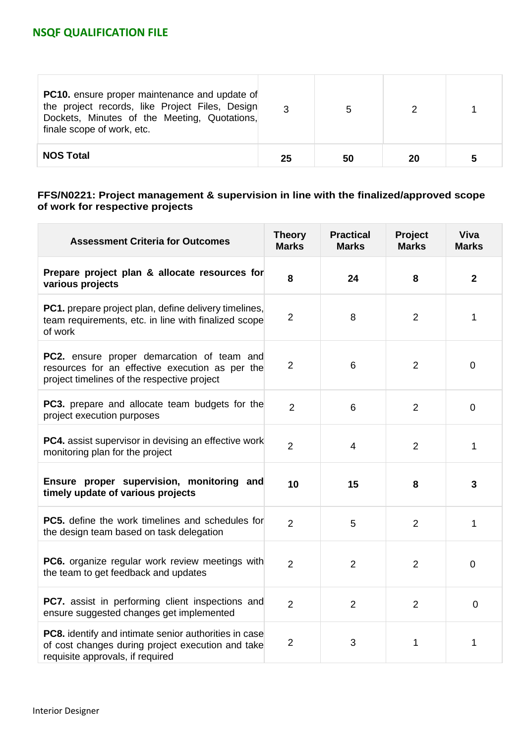| <b>PC10.</b> ensure proper maintenance and update of<br>the project records, like Project Files, Design<br>Dockets, Minutes of the Meeting, Quotations,<br>finale scope of work, etc. | ્ર | 5  |    |  |
|---------------------------------------------------------------------------------------------------------------------------------------------------------------------------------------|----|----|----|--|
| <b>NOS Total</b>                                                                                                                                                                      | 25 | 50 | 20 |  |

#### **FFS/N0221: Project management & supervision in line with the finalized/approved scope of work for respective projects**

| <b>Assessment Criteria for Outcomes</b>                                                                                                             | <b>Theory</b><br><b>Marks</b> | <b>Practical</b><br><b>Marks</b> | Project<br><b>Marks</b> | <b>Viva</b><br><b>Marks</b> |
|-----------------------------------------------------------------------------------------------------------------------------------------------------|-------------------------------|----------------------------------|-------------------------|-----------------------------|
| Prepare project plan & allocate resources for<br>various projects                                                                                   | 8                             | 24                               | 8                       | $\overline{2}$              |
| PC1. prepare project plan, define delivery timelines,<br>team requirements, etc. in line with finalized scope<br>of work                            | $\overline{2}$                | 8                                | 2                       | 1                           |
| <b>PC2.</b> ensure proper demarcation of team and<br>resources for an effective execution as per the<br>project timelines of the respective project | $\overline{2}$                | 6                                | 2                       | $\overline{0}$              |
| PC3. prepare and allocate team budgets for the<br>project execution purposes                                                                        | $\overline{2}$                | 6                                | $\overline{2}$          | 0                           |
| PC4. assist supervisor in devising an effective work<br>monitoring plan for the project                                                             | $\overline{2}$                | $\overline{4}$                   | $\overline{2}$          | 1                           |
| Ensure proper supervision, monitoring and<br>timely update of various projects                                                                      | 10                            | 15                               | 8                       | 3                           |
| <b>PC5.</b> define the work timelines and schedules for<br>the design team based on task delegation                                                 | $\overline{2}$                | 5                                | $\overline{2}$          | 1                           |
| PC6. organize regular work review meetings with<br>the team to get feedback and updates                                                             | $\overline{2}$                | $\overline{2}$                   | $\overline{2}$          | $\overline{0}$              |
| PC7. assist in performing client inspections and<br>ensure suggested changes get implemented                                                        | $\overline{2}$                | $\overline{2}$                   | 2                       | $\overline{0}$              |
| PC8. identify and intimate senior authorities in case<br>of cost changes during project execution and take<br>requisite approvals, if required      | $\overline{2}$                | 3                                | 1                       | 1                           |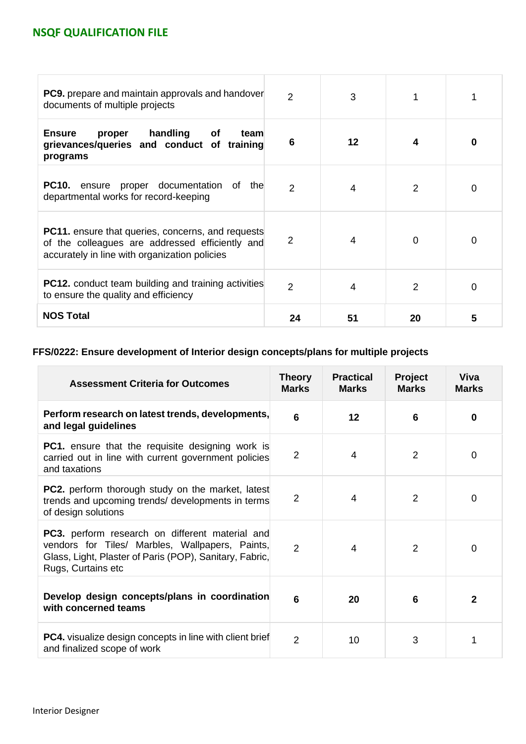| <b>PC9.</b> prepare and maintain approvals and handover<br>documents of multiple projects                                                                    | $\mathcal{P}$  | 3  |    |   |
|--------------------------------------------------------------------------------------------------------------------------------------------------------------|----------------|----|----|---|
| handling<br><b>Ensure</b><br>proper<br>Οf<br>team<br>grievances/queries and conduct of training<br>programs                                                  | 6              | 12 | 4  | O |
| <b>PC10.</b> ensure proper documentation of the<br>departmental works for record-keeping                                                                     | $\mathfrak{D}$ | 4  | 2  | 0 |
| <b>PC11.</b> ensure that queries, concerns, and requests<br>of the colleagues are addressed efficiently and<br>accurately in line with organization policies | $\overline{2}$ | 4  | 0  | 0 |
| <b>PC12.</b> conduct team building and training activities<br>to ensure the quality and efficiency                                                           | $\overline{2}$ | 4  | 2  |   |
| <b>NOS Total</b>                                                                                                                                             | 24             | 51 | 20 | 5 |

### **FFS/0222: Ensure development of Interior design concepts/plans for multiple projects**

| <b>Assessment Criteria for Outcomes</b>                                                                                                                                                    | <b>Theory</b><br><b>Marks</b> | <b>Practical</b><br><b>Marks</b> | <b>Project</b><br><b>Marks</b> | Viva<br><b>Marks</b> |
|--------------------------------------------------------------------------------------------------------------------------------------------------------------------------------------------|-------------------------------|----------------------------------|--------------------------------|----------------------|
| Perform research on latest trends, developments,<br>and legal guidelines                                                                                                                   | 6                             | 12                               | 6                              | $\Omega$             |
| <b>PC1.</b> ensure that the requisite designing work is<br>carried out in line with current government policies<br>and taxations                                                           | 2                             | 4                                | $\overline{2}$                 | $\Omega$             |
| <b>PC2.</b> perform thorough study on the market, latest<br>trends and upcoming trends/ developments in terms<br>of design solutions                                                       | $\overline{2}$                | 4                                | $\overline{2}$                 | 0                    |
| <b>PC3.</b> perform research on different material and<br>vendors for Tiles/ Marbles, Wallpapers, Paints,<br>Glass, Light, Plaster of Paris (POP), Sanitary, Fabric,<br>Rugs, Curtains etc | $\overline{2}$                | $\overline{4}$                   | $\overline{2}$                 | $\Omega$             |
| Develop design concepts/plans in coordination<br>with concerned teams                                                                                                                      | 6                             | 20                               | 6                              | $\mathbf{2}$         |
| <b>PC4.</b> visualize design concepts in line with client brief<br>and finalized scope of work                                                                                             | 2                             | 10                               | 3                              |                      |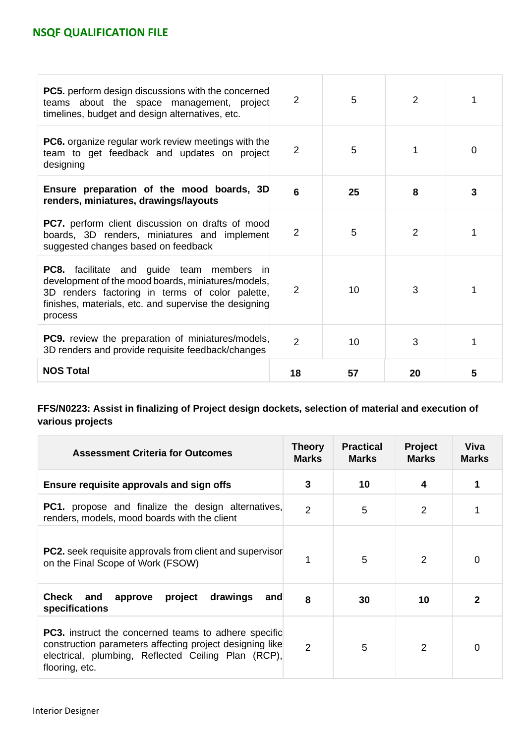| <b>PC5.</b> perform design discussions with the concerned<br>teams about the space management, project<br>timelines, budget and design alternatives, etc.                                                                     | $\overline{2}$ | 5  | $\overline{2}$ |   |
|-------------------------------------------------------------------------------------------------------------------------------------------------------------------------------------------------------------------------------|----------------|----|----------------|---|
| <b>PC6.</b> organize regular work review meetings with the<br>team to get feedback and updates on project<br>designing                                                                                                        | $\overline{2}$ | 5  |                | 0 |
| Ensure preparation of the mood boards, 3D<br>renders, miniatures, drawings/layouts                                                                                                                                            | 6              | 25 | 8              | 3 |
| <b>PC7.</b> perform client discussion on drafts of mood<br>boards, 3D renders, miniatures and implement<br>suggested changes based on feedback                                                                                | $\overline{2}$ | 5  | $\overline{2}$ |   |
| <b>PC8.</b> facilitate and guide team members in<br>development of the mood boards, miniatures/models,<br>3D renders factoring in terms of color palette,<br>finishes, materials, etc. and supervise the designing<br>process | $\overline{2}$ | 10 | 3              |   |
| <b>PC9.</b> review the preparation of miniatures/models,<br>3D renders and provide requisite feedback/changes                                                                                                                 | 2              | 10 | 3              |   |
| <b>NOS Total</b>                                                                                                                                                                                                              | 18             | 57 | 20             | 5 |

### **FFS/N0223: Assist in finalizing of Project design dockets, selection of material and execution of various projects**

| <b>Assessment Criteria for Outcomes</b>                                                                                                                                                          | Theory<br><b>Marks</b> | <b>Practical</b><br><b>Marks</b> | <b>Project</b><br><b>Marks</b> | Viva<br><b>Marks</b> |
|--------------------------------------------------------------------------------------------------------------------------------------------------------------------------------------------------|------------------------|----------------------------------|--------------------------------|----------------------|
| Ensure requisite approvals and sign offs                                                                                                                                                         | 3                      | 10                               |                                |                      |
| <b>PC1.</b> propose and finalize the design alternatives,<br>renders, models, mood boards with the client                                                                                        | $\overline{2}$         | 5                                | $\overline{2}$                 |                      |
| PC2. seek requisite approvals from client and supervisor<br>on the Final Scope of Work (FSOW)                                                                                                    | 1                      | 5                                | $\mathcal{P}$                  | 0                    |
| drawings<br>Check<br>project<br>and<br>approve<br>and<br>specifications                                                                                                                          | 8                      | 30                               | 10                             | 2                    |
| <b>PC3.</b> instruct the concerned teams to adhere specific<br>construction parameters affecting project designing like<br>electrical, plumbing, Reflected Ceiling Plan (RCP),<br>flooring, etc. | $\overline{2}$         | 5                                | 2                              | 0                    |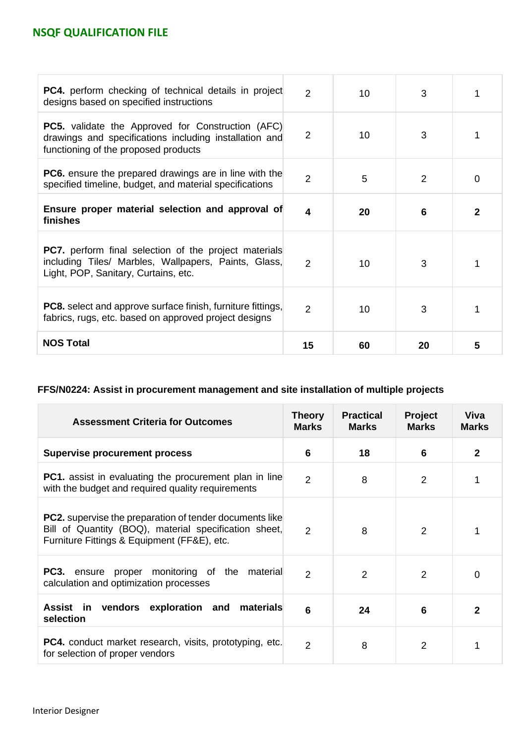| <b>PC4.</b> perform checking of technical details in project<br>designs based on specified instructions                                                      | $\overline{2}$ | 10 | 3  |              |
|--------------------------------------------------------------------------------------------------------------------------------------------------------------|----------------|----|----|--------------|
| <b>PC5.</b> validate the Approved for Construction (AFC)<br>drawings and specifications including installation and<br>functioning of the proposed products   | 2              | 10 | 3  |              |
| <b>PC6.</b> ensure the prepared drawings are in line with the<br>specified timeline, budget, and material specifications                                     | 2              | 5  | 2  | 0            |
| Ensure proper material selection and approval of<br>finishes                                                                                                 | 4              | 20 | 6  | $\mathbf{2}$ |
| <b>PC7.</b> perform final selection of the project materials<br>including Tiles/ Marbles, Wallpapers, Paints, Glass,<br>Light, POP, Sanitary, Curtains, etc. | 2              | 10 | 3  |              |
| <b>PC8.</b> select and approve surface finish, furniture fittings,<br>fabrics, rugs, etc. based on approved project designs                                  | 2              | 10 | 3  |              |
| <b>NOS Total</b>                                                                                                                                             | 15             | 60 | 20 | 5            |

### **FFS/N0224: Assist in procurement management and site installation of multiple projects**

| <b>Assessment Criteria for Outcomes</b>                                                                                                                                | <b>Theory</b><br><b>Marks</b> | <b>Practical</b><br><b>Marks</b> | <b>Project</b><br><b>Marks</b> | Viva<br><b>Marks</b> |
|------------------------------------------------------------------------------------------------------------------------------------------------------------------------|-------------------------------|----------------------------------|--------------------------------|----------------------|
| <b>Supervise procurement process</b>                                                                                                                                   | 6                             | 18                               | 6                              | $\overline{2}$       |
| <b>PC1.</b> assist in evaluating the procurement plan in line<br>with the budget and required quality requirements                                                     | $\overline{2}$                | 8                                | 2                              |                      |
| <b>PC2.</b> supervise the preparation of tender documents like<br>Bill of Quantity (BOQ), material specification sheet,<br>Furniture Fittings & Equipment (FF&E), etc. | $\overline{2}$                | 8                                | 2                              |                      |
| <b>PC3.</b> ensure proper monitoring of the material<br>calculation and optimization processes                                                                         | 2                             | $\overline{2}$                   | 2                              | 0                    |
| Assist in vendors exploration and<br>materials<br>selection                                                                                                            | 6                             | 24                               | 6                              | $\mathbf{2}$         |
| <b>PC4.</b> conduct market research, visits, prototyping, etc.<br>for selection of proper vendors                                                                      | $\overline{2}$                | 8                                | $\overline{2}$                 |                      |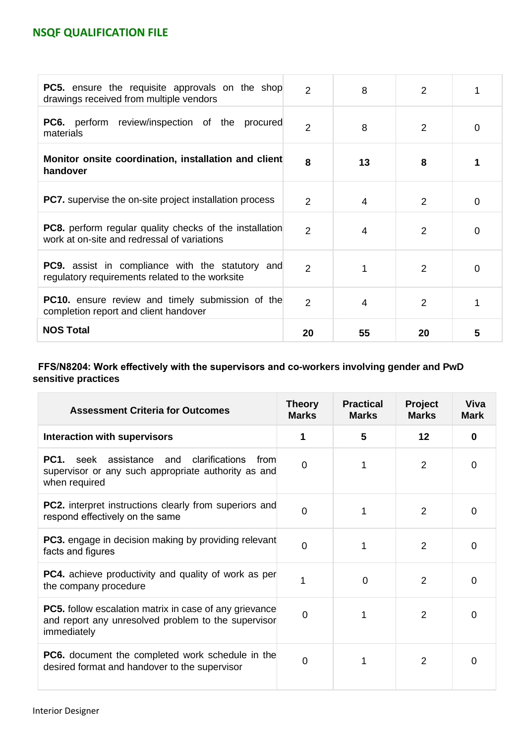| <b>PC5.</b> ensure the requisite approvals on the shop<br>drawings received from multiple vendors             | $\overline{2}$ | 8              | $\overline{2}$ |          |
|---------------------------------------------------------------------------------------------------------------|----------------|----------------|----------------|----------|
| <b>PC6.</b> perform review/inspection of the procured<br>materials                                            | $\overline{2}$ | 8              | 2              | 0        |
| Monitor onsite coordination, installation and client<br>handover                                              | 8              | 13             | 8              |          |
| <b>PC7.</b> supervise the on-site project installation process                                                | $\mathcal{P}$  | 4              | $\mathcal{P}$  | 0        |
| <b>PC8.</b> perform regular quality checks of the installation<br>work at on-site and redressal of variations | $\overline{2}$ | 4              | 2              | 0        |
| <b>PC9.</b> assist in compliance with the statutory and<br>regulatory requirements related to the worksite    | $\overline{2}$ | 1              | 2              | $\Omega$ |
| <b>PC10.</b> ensure review and timely submission of the<br>completion report and client handover              | $\overline{2}$ | $\overline{4}$ | 2              |          |
| <b>NOS Total</b>                                                                                              | 20             | 55             | 20             | 5        |

### **FFS/N8204: Work effectively with the supervisors and co-workers involving gender and PwD sensitive practices**

| <b>Assessment Criteria for Outcomes</b>                                                                                             | <b>Theory</b><br><b>Marks</b> | <b>Practical</b><br><b>Marks</b> | Project<br><b>Marks</b> | Viva<br><b>Mark</b> |
|-------------------------------------------------------------------------------------------------------------------------------------|-------------------------------|----------------------------------|-------------------------|---------------------|
| <b>Interaction with supervisors</b>                                                                                                 |                               | 5                                | 12                      | $\Omega$            |
| clarifications<br>PC1.<br>seek assistance and<br>from<br>supervisor or any such appropriate authority as and<br>when required       | $\overline{0}$                |                                  | 2                       | 0                   |
| <b>PC2.</b> interpret instructions clearly from superiors and<br>respond effectively on the same                                    | $\Omega$                      |                                  | 2                       | $\Omega$            |
| <b>PC3.</b> engage in decision making by providing relevant<br>facts and figures                                                    | $\Omega$                      |                                  | $\overline{2}$          | $\Omega$            |
| <b>PC4.</b> achieve productivity and quality of work as per<br>the company procedure                                                | 1                             | 0                                | 2                       | 0                   |
| <b>PC5.</b> follow escalation matrix in case of any grievance<br>and report any unresolved problem to the supervisor<br>immediately | $\Omega$                      |                                  | 2                       | <sup>0</sup>        |
| <b>PC6.</b> document the completed work schedule in the<br>desired format and handover to the supervisor                            | $\overline{0}$                |                                  | 2                       | 0                   |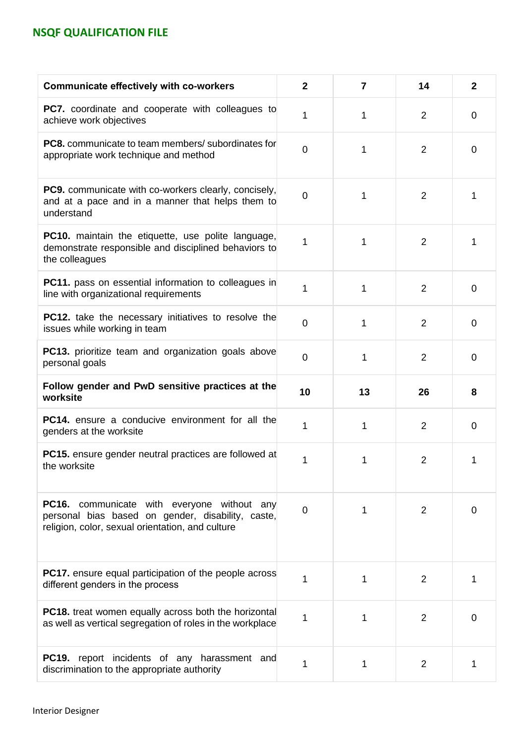| <b>Communicate effectively with co-workers</b>                                                                                                              | $\mathbf{2}$   | 7  | 14             | $\mathbf{2}$   |
|-------------------------------------------------------------------------------------------------------------------------------------------------------------|----------------|----|----------------|----------------|
| PC7. coordinate and cooperate with colleagues to<br>achieve work objectives                                                                                 | 1              | 1  | 2              | 0              |
| <b>PC8.</b> communicate to team members/ subordinates for<br>appropriate work technique and method                                                          | $\overline{0}$ | 1  | $\overline{2}$ | 0              |
| <b>PC9.</b> communicate with co-workers clearly, concisely,<br>and at a pace and in a manner that helps them to<br>understand                               | $\overline{0}$ | 1  | 2              | 1              |
| <b>PC10.</b> maintain the etiquette, use polite language,<br>demonstrate responsible and disciplined behaviors to<br>the colleagues                         | 1              | 1  | 2              | 1              |
| <b>PC11.</b> pass on essential information to colleagues in<br>line with organizational requirements                                                        | 1              | 1  | $\overline{2}$ | $\overline{0}$ |
| PC12. take the necessary initiatives to resolve the<br>issues while working in team                                                                         | $\overline{0}$ | 1  | $\overline{2}$ | 0              |
| PC13. prioritize team and organization goals above<br>personal goals                                                                                        | $\mathbf 0$    | 1  | 2              | 0              |
|                                                                                                                                                             |                |    |                |                |
| Follow gender and PwD sensitive practices at the<br>worksite                                                                                                | 10             | 13 | 26             | 8              |
| PC14. ensure a conducive environment for all the<br>genders at the worksite                                                                                 | 1              | 1  | $\overline{2}$ | 0              |
| <b>PC15.</b> ensure gender neutral practices are followed at<br>the worksite                                                                                | 1              | 1  | $\overline{2}$ | 1              |
| <b>PC16.</b> communicate with everyone without any<br>personal bias based on gender, disability, caste,<br>religion, color, sexual orientation, and culture | $\Omega$       | 1  | $\overline{2}$ | 0              |
| <b>PC17.</b> ensure equal participation of the people across<br>different genders in the process                                                            | 1              | 1  | 2              | 1              |
| <b>PC18.</b> treat women equally across both the horizontal<br>as well as vertical segregation of roles in the workplace                                    | 1              | 1  | 2              | 0              |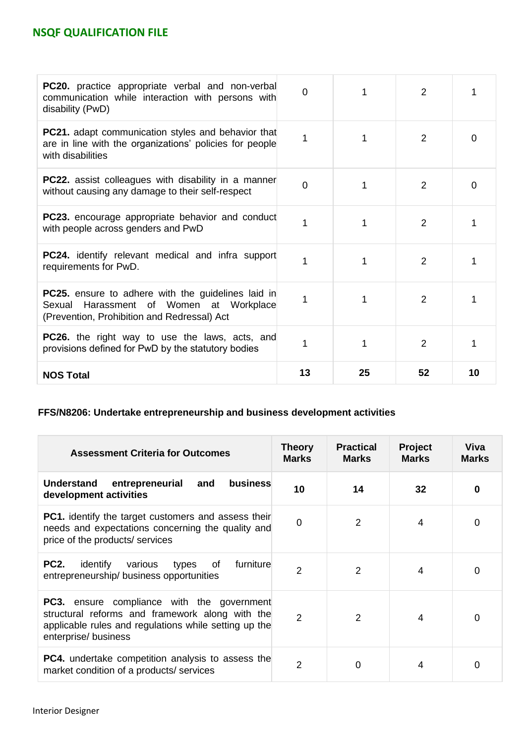| <b>PC20.</b> practice appropriate verbal and non-verbal<br>communication while interaction with persons with<br>disability (PwD)                    | $\Omega$ |    | 2              |          |
|-----------------------------------------------------------------------------------------------------------------------------------------------------|----------|----|----------------|----------|
| <b>PC21.</b> adapt communication styles and behavior that<br>are in line with the organizations' policies for people<br>with disabilities           | 1        |    | 2              | 0        |
| <b>PC22.</b> assist colleagues with disability in a manner<br>without causing any damage to their self-respect                                      | $\Omega$ |    | 2              | $\Omega$ |
| <b>PC23.</b> encourage appropriate behavior and conduct<br>with people across genders and PwD                                                       |          |    | 2              | 1        |
| <b>PC24.</b> identify relevant medical and infra support<br>requirements for PwD.                                                                   |          |    | 2              |          |
| <b>PC25.</b> ensure to adhere with the guidelines laid in<br>Sexual Harassment of Women at Workplace<br>(Prevention, Prohibition and Redressal) Act |          |    | 2              |          |
| <b>PC26.</b> the right way to use the laws, acts, and<br>provisions defined for PwD by the statutory bodies                                         |          |    | $\overline{2}$ |          |
| <b>NOS Total</b>                                                                                                                                    | 13       | 25 | 52             | 10       |

# **FFS/N8206: Undertake entrepreneurship and business development activities**

| <b>Assessment Criteria for Outcomes</b>                                                                                                                                               | Theory<br><b>Marks</b> | <b>Practical</b><br><b>Marks</b> | Project<br><b>Marks</b> | Viva<br><b>Marks</b> |
|---------------------------------------------------------------------------------------------------------------------------------------------------------------------------------------|------------------------|----------------------------------|-------------------------|----------------------|
| business<br><b>Understand</b><br>entrepreneurial<br>and<br>development activities                                                                                                     | 10                     | 14                               | 32                      | 0                    |
| <b>PC1.</b> identify the target customers and assess their<br>needs and expectations concerning the quality and<br>price of the products/ services                                    | $\Omega$               | 2                                | 4                       | 0                    |
| <b>PC2.</b><br>furniture<br>identify<br>of<br>various<br>types<br>entrepreneurship/business opportunities                                                                             | $\overline{2}$         | $\overline{2}$                   | 4                       | 0                    |
| <b>PC3.</b> ensure compliance with the government<br>structural reforms and framework along with the<br>applicable rules and regulations while setting up the<br>enterprise/ business | $\mathcal{P}$          | $\mathcal{P}$                    | 4                       | 0                    |
| <b>PC4.</b> undertake competition analysis to assess the<br>market condition of a products/ services                                                                                  | 2                      | 0                                | 4                       | 0                    |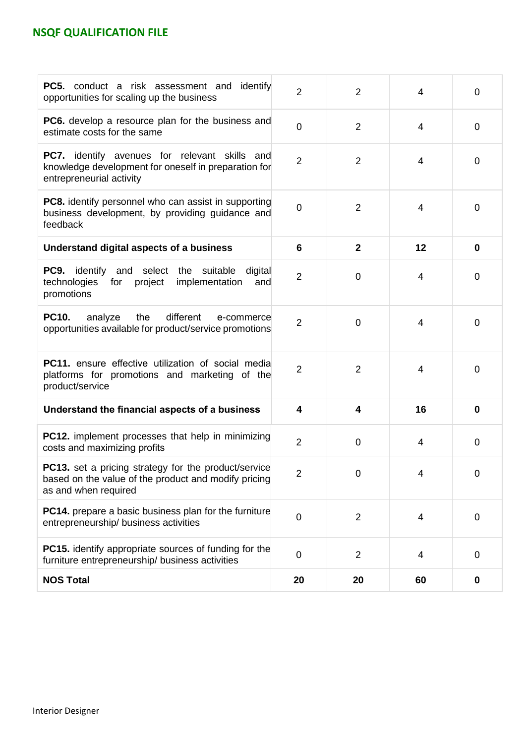| <b>PC5.</b> conduct a risk assessment and identify<br>opportunities for scaling up the business                                             | $\overline{2}$ | 2              | $\overline{4}$ | 0           |
|---------------------------------------------------------------------------------------------------------------------------------------------|----------------|----------------|----------------|-------------|
| <b>PC6.</b> develop a resource plan for the business and<br>estimate costs for the same                                                     | $\overline{0}$ | $\overline{2}$ | $\overline{4}$ | 0           |
| <b>PC7.</b> identify avenues for relevant skills and<br>knowledge development for oneself in preparation for<br>entrepreneurial activity    | $\overline{2}$ | $\overline{2}$ | $\overline{4}$ | 0           |
| <b>PC8.</b> identify personnel who can assist in supporting<br>business development, by providing guidance and<br>feedback                  | $\overline{0}$ | $\overline{2}$ | $\overline{4}$ | $\mathbf 0$ |
| Understand digital aspects of a business                                                                                                    | 6              | $\mathbf{2}$   | 12             | 0           |
| <b>PC9.</b> identify and select the suitable digital<br>technologies<br>for project<br>implementation<br>and<br>promotions                  | $\overline{2}$ | 0              | $\overline{4}$ | 0           |
| <b>PC10.</b><br>different<br>analyze<br>the<br>e-commerce<br>opportunities available for product/service promotions                         | $\overline{2}$ | $\overline{0}$ | 4              | 0           |
| <b>PC11.</b> ensure effective utilization of social media<br>platforms for promotions and marketing of the<br>product/service               | $\overline{2}$ | $\overline{2}$ | $\overline{4}$ | 0           |
| Understand the financial aspects of a business                                                                                              | 4              | 4              | 16             | 0           |
| <b>PC12.</b> implement processes that help in minimizing<br>costs and maximizing profits                                                    | $\overline{2}$ | 0              | 4              | 0           |
| <b>PC13.</b> set a pricing strategy for the product/service<br>based on the value of the product and modify pricing<br>as and when required | $\overline{2}$ | 0              | 4              | 0           |
| <b>PC14.</b> prepare a basic business plan for the furniture<br>entrepreneurship/ business activities                                       | $\mathbf 0$    | $\overline{2}$ | 4              | $\mathbf 0$ |
| <b>PC15.</b> identify appropriate sources of funding for the<br>furniture entrepreneurship/ business activities                             | $\mathbf 0$    | $\overline{2}$ | 4              | 0           |
| <b>NOS Total</b>                                                                                                                            | 20             | 20             | 60             | $\bf{0}$    |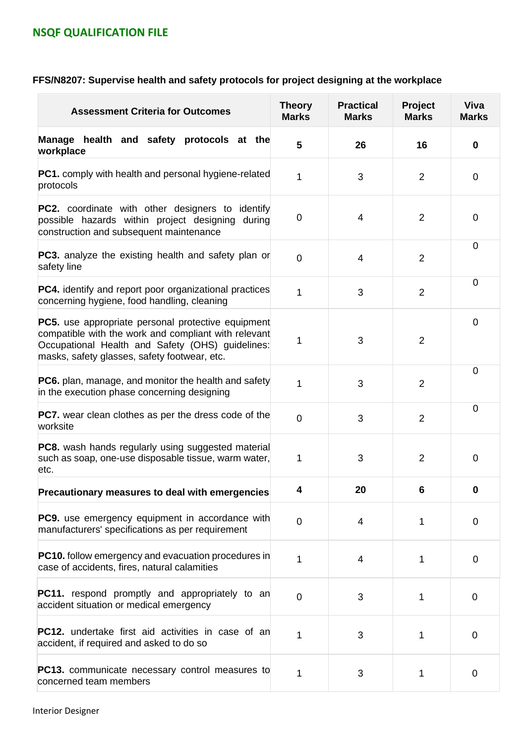# **FFS/N8207: Supervise health and safety protocols for project designing at the workplace**

| <b>Assessment Criteria for Outcomes</b>                                                                                                                                                                               | <b>Theory</b><br><b>Marks</b> | <b>Practical</b><br><b>Marks</b> | Project<br><b>Marks</b> | <b>Viva</b><br><b>Marks</b> |
|-----------------------------------------------------------------------------------------------------------------------------------------------------------------------------------------------------------------------|-------------------------------|----------------------------------|-------------------------|-----------------------------|
| Manage health and safety protocols at the<br>workplace                                                                                                                                                                | 5                             | 26                               | 16                      | $\bf{0}$                    |
| <b>PC1.</b> comply with health and personal hygiene-related<br>protocols                                                                                                                                              | 1                             | 3                                | $\overline{2}$          | 0                           |
| <b>PC2.</b> coordinate with other designers to<br>identify<br>possible hazards within project designing<br>during<br>construction and subsequent maintenance                                                          | 0                             | 4                                | $\overline{2}$          | $\mathbf 0$                 |
| <b>PC3.</b> analyze the existing health and safety plan or<br>safety line                                                                                                                                             | $\overline{0}$                | $\overline{4}$                   | $\overline{2}$          | 0                           |
| <b>PC4.</b> identify and report poor organizational practices<br>concerning hygiene, food handling, cleaning                                                                                                          | 1                             | 3                                | $\overline{2}$          | $\overline{0}$              |
| <b>PC5.</b> use appropriate personal protective equipment<br>compatible with the work and compliant with relevant<br>Occupational Health and Safety (OHS) guidelines:<br>masks, safety glasses, safety footwear, etc. | 1                             | 3                                | $\overline{2}$          | $\overline{0}$              |
| <b>PC6.</b> plan, manage, and monitor the health and safety<br>in the execution phase concerning designing                                                                                                            | $\mathbf{1}$                  | 3                                | $\overline{2}$          | $\overline{0}$              |
| <b>PC7.</b> wear clean clothes as per the dress code of the<br>worksite                                                                                                                                               | $\overline{0}$                | 3                                | $\overline{2}$          | $\overline{0}$              |
| <b>PC8.</b> wash hands regularly using suggested material<br>such as soap, one-use disposable tissue, warm water,<br>etc.                                                                                             | 1                             | 3                                | 2                       | $\overline{0}$              |
| Precautionary measures to deal with emergencies                                                                                                                                                                       | 4                             | 20                               | 6                       | U                           |
| <b>PC9.</b> use emergency equipment in accordance with<br>manufacturers' specifications as per requirement                                                                                                            | $\overline{0}$                | 4                                | 1                       | 0                           |
| <b>PC10.</b> follow emergency and evacuation procedures in<br>case of accidents, fires, natural calamities                                                                                                            | 1                             | 4                                | 1                       | $\overline{0}$              |
| <b>PC11.</b> respond promptly and appropriately to an<br>accident situation or medical emergency                                                                                                                      | $\overline{0}$                | 3                                | 1                       | $\mathbf 0$                 |
| <b>PC12.</b> undertake first aid activities in case of an<br>accident, if required and asked to do so                                                                                                                 | 1                             | 3                                | 1                       | $\overline{0}$              |
| PC13. communicate necessary control measures to<br>concerned team members                                                                                                                                             | 1                             | 3                                | 1                       | $\mathbf 0$                 |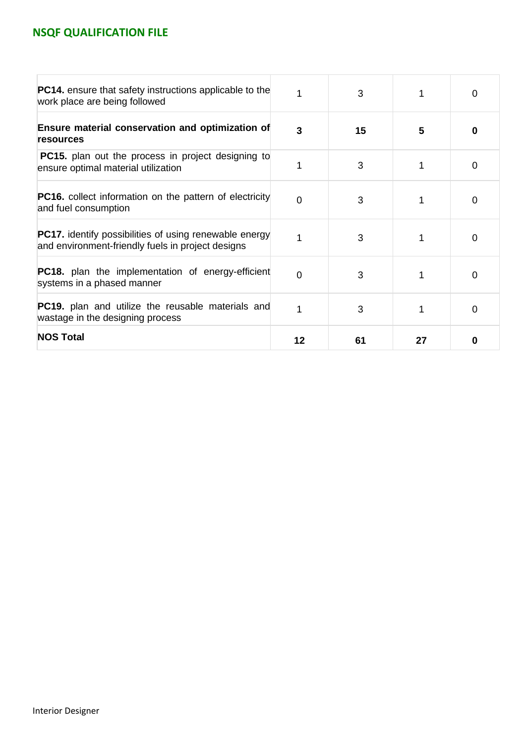| <b>PC14.</b> ensure that safety instructions applicable to the<br>work place are being followed                    |          | 3  |    | $\Omega$ |
|--------------------------------------------------------------------------------------------------------------------|----------|----|----|----------|
| Ensure material conservation and optimization of<br><b>resources</b>                                               | 3        | 15 | 5  | 0        |
| <b>PC15.</b> plan out the process in project designing to<br>ensure optimal material utilization                   |          | 3  |    | $\Omega$ |
| <b>PC16.</b> collect information on the pattern of electricity<br>and fuel consumption                             | $\Omega$ | 3  |    | 0        |
| <b>PC17.</b> identify possibilities of using renewable energy<br>and environment-friendly fuels in project designs | 1        | 3  |    | 0        |
| <b>PC18.</b> plan the implementation of energy-efficient<br>systems in a phased manner                             | 0        | 3  |    | 0        |
| <b>PC19.</b> plan and utilize the reusable materials and<br>wastage in the designing process                       | 1        | 3  |    | 0        |
| <b>NOS Total</b>                                                                                                   | 12       | 61 | 27 | 0        |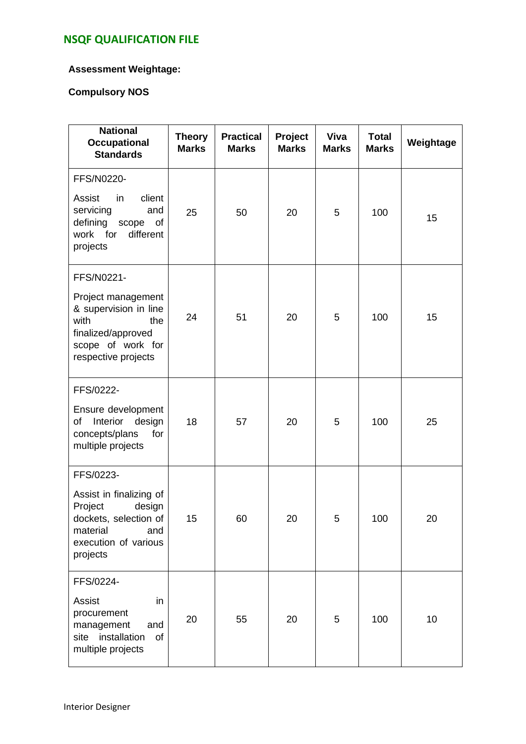### **Assessment Weightage:**

### **Compulsory NOS**

| <b>National</b><br><b>Occupational</b><br><b>Standards</b>                                                                                 | <b>Theory</b><br><b>Marks</b> | <b>Practical</b><br><b>Marks</b> | Project<br><b>Marks</b> | Viva<br><b>Marks</b> | <b>Total</b><br><b>Marks</b> | Weightage |
|--------------------------------------------------------------------------------------------------------------------------------------------|-------------------------------|----------------------------------|-------------------------|----------------------|------------------------------|-----------|
| FFS/N0220-<br>Assist<br>in<br>client<br>servicing<br>and<br>defining scope<br>of<br>work for<br>different<br>projects                      | 25                            | 50                               | 20                      | 5                    | 100                          | 15        |
| FFS/N0221-<br>Project management<br>& supervision in line<br>with<br>the<br>finalized/approved<br>scope of work for<br>respective projects | 24                            | 51                               | 20                      | 5                    | 100                          | 15        |
| FFS/0222-<br>Ensure development<br>Interior<br>design<br>of<br>concepts/plans<br>for<br>multiple projects                                  | 18                            | 57                               | 20                      | 5                    | 100                          | 25        |
| FFS/0223-<br>Assist in finalizing of<br>Project<br>design<br>dockets, selection of<br>material<br>and<br>execution of various<br>projects  | 15                            | 60                               | 20                      | 5                    | 100                          | 20        |
| FFS/0224-<br>Assist<br>in<br>procurement<br>management<br>and<br>installation<br>of<br>site<br>multiple projects                           | 20                            | 55                               | 20                      | 5                    | 100                          | 10        |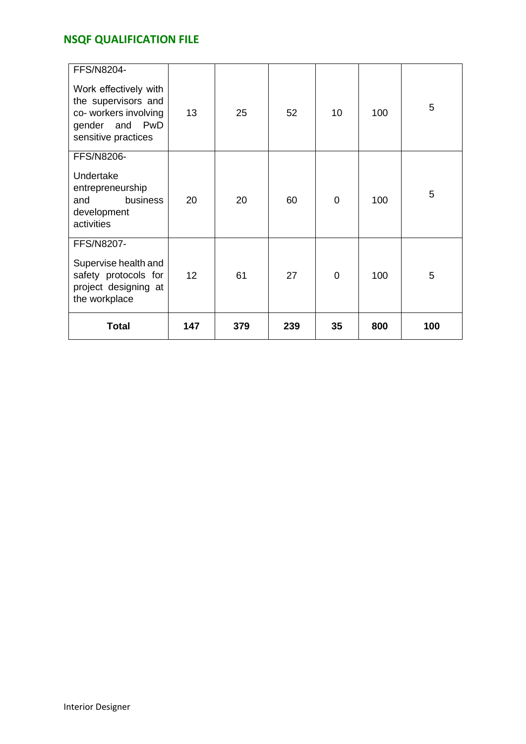| <b>FFS/N8204-</b><br>Work effectively with<br>the supervisors and<br>co- workers involving<br>gender and PwD<br>sensitive practices | 13              | 25  | 52  | 10          | 100 | 5   |
|-------------------------------------------------------------------------------------------------------------------------------------|-----------------|-----|-----|-------------|-----|-----|
| FFS/N8206-<br>Undertake<br>entrepreneurship<br>business<br>and<br>development<br>activities                                         | 20              | 20  | 60  | $\Omega$    | 100 | 5   |
| FFS/N8207-<br>Supervise health and<br>safety protocols for<br>project designing at<br>the workplace                                 | 12 <sup>2</sup> | 61  | 27  | $\mathbf 0$ | 100 | 5   |
| <b>Total</b>                                                                                                                        | 147             | 379 | 239 | 35          | 800 | 100 |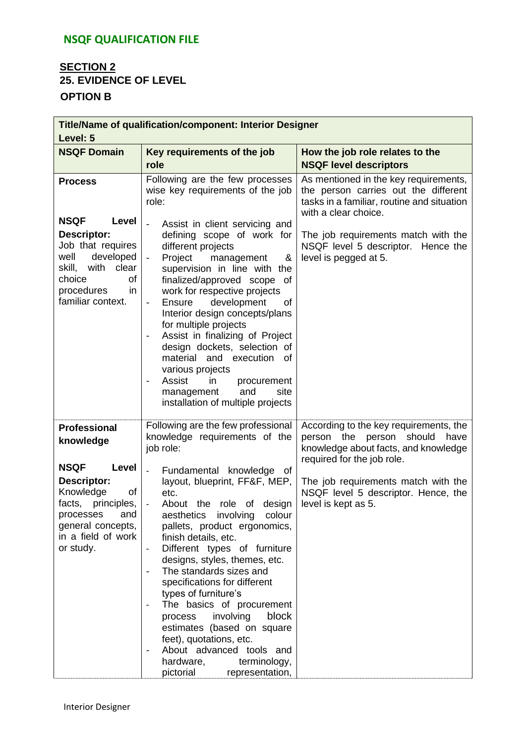## **SECTION 2 25. EVIDENCE OF LEVEL OPTION B**

| Title/Name of qualification/component: Interior Designer<br>Level: 5                                                                                                                            |                                                                                                                                                                                                                                                                                                                                                                                                                                                                                                                                                                                                                                                                                |                                                                                                                                                                                                                                                                |  |  |
|-------------------------------------------------------------------------------------------------------------------------------------------------------------------------------------------------|--------------------------------------------------------------------------------------------------------------------------------------------------------------------------------------------------------------------------------------------------------------------------------------------------------------------------------------------------------------------------------------------------------------------------------------------------------------------------------------------------------------------------------------------------------------------------------------------------------------------------------------------------------------------------------|----------------------------------------------------------------------------------------------------------------------------------------------------------------------------------------------------------------------------------------------------------------|--|--|
| <b>NSQF Domain</b>                                                                                                                                                                              | Key requirements of the job<br>role                                                                                                                                                                                                                                                                                                                                                                                                                                                                                                                                                                                                                                            | How the job role relates to the<br><b>NSQF level descriptors</b>                                                                                                                                                                                               |  |  |
| <b>Process</b><br><b>NSQF</b><br>Level<br>Descriptor:<br>Job that requires<br>developed<br>well<br>skill, with<br>clear<br>of<br>choice<br>procedures<br>in<br>familiar context.                | Following are the few processes<br>wise key requirements of the job<br>role:<br>Assist in client servicing and<br>defining scope of work for<br>different projects<br>Project<br>management<br>&<br>supervision in line with the<br>finalized/approved scope of<br>work for respective projects<br>development<br>Ensure<br>οf<br>$\overline{\phantom{a}}$<br>Interior design concepts/plans<br>for multiple projects<br>Assist in finalizing of Project<br>design dockets, selection of<br>material and execution of<br>various projects<br>Assist<br>in<br>procurement<br>and<br>site<br>management<br>installation of multiple projects                                     | As mentioned in the key requirements,<br>the person carries out the different<br>tasks in a familiar, routine and situation<br>with a clear choice.<br>The job requirements match with the<br>NSQF level 5 descriptor. Hence the<br>level is pegged at 5.      |  |  |
| Professional<br>knowledge<br><b>NSQF</b><br>Level<br><b>Descriptor:</b><br>Knowledge<br>of<br>principles,<br>facts,<br>and<br>processes<br>general concepts,<br>in a field of work<br>or study. | Following are the few professional<br>knowledge requirements of the<br>job role:<br>Fundamental knowledge of<br>layout, blueprint, FF&F, MEP,<br>etc.<br>About the role of design<br>aesthetics<br>involving<br>colour<br>pallets, product ergonomics,<br>finish details, etc.<br>Different types of furniture<br>$\overline{\phantom{a}}$<br>designs, styles, themes, etc.<br>The standards sizes and<br>specifications for different<br>types of furniture's<br>The basics of procurement<br>block<br>involving<br>process<br>estimates (based on square<br>feet), quotations, etc.<br>About advanced tools and<br>hardware,<br>terminology,<br>pictorial<br>representation, | According to the key requirements, the<br>person<br>the<br>person<br>should<br>have<br>knowledge about facts, and knowledge<br>required for the job role.<br>The job requirements match with the<br>NSQF level 5 descriptor. Hence, the<br>level is kept as 5. |  |  |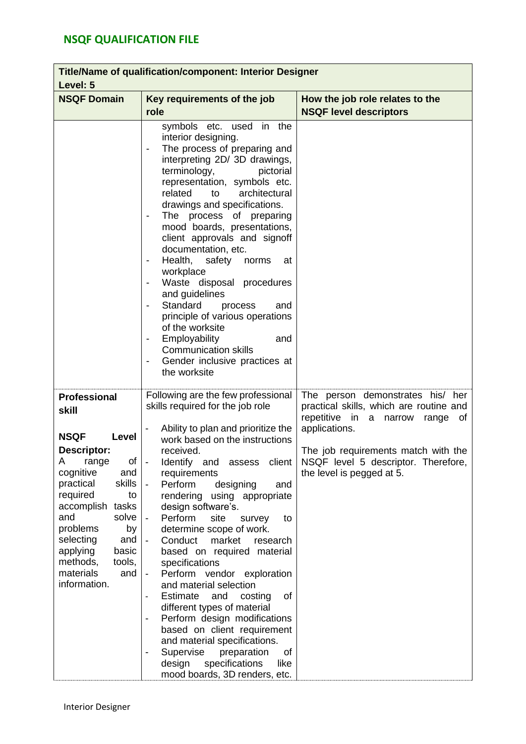| <b>Title/Name of qualification/component: Interior Designer</b><br>Level: 5                                                                                                                                                                                                                                   |                                                                                                                                                                                                                                                                                                                                                                                                                                                                                                                                                                                                                                                                                                                                                                                 |                                                                                                                                                                                                                                                        |  |  |
|---------------------------------------------------------------------------------------------------------------------------------------------------------------------------------------------------------------------------------------------------------------------------------------------------------------|---------------------------------------------------------------------------------------------------------------------------------------------------------------------------------------------------------------------------------------------------------------------------------------------------------------------------------------------------------------------------------------------------------------------------------------------------------------------------------------------------------------------------------------------------------------------------------------------------------------------------------------------------------------------------------------------------------------------------------------------------------------------------------|--------------------------------------------------------------------------------------------------------------------------------------------------------------------------------------------------------------------------------------------------------|--|--|
| <b>NSQF Domain</b>                                                                                                                                                                                                                                                                                            | Key requirements of the job<br>How the job role relates to the<br>role<br><b>NSQF level descriptors</b>                                                                                                                                                                                                                                                                                                                                                                                                                                                                                                                                                                                                                                                                         |                                                                                                                                                                                                                                                        |  |  |
|                                                                                                                                                                                                                                                                                                               | symbols etc. used in the<br>interior designing.<br>The process of preparing and<br>interpreting 2D/ 3D drawings,<br>terminology,<br>pictorial<br>representation, symbols etc.<br>related<br>architectural<br>to<br>drawings and specifications.<br>The process of preparing<br>mood boards, presentations,<br>client approvals and signoff<br>documentation, etc.<br>Health,<br>safety<br>norms<br>at<br>workplace<br>Waste disposal procedures<br>and guidelines<br>Standard<br>process<br>and<br>principle of various operations<br>of the worksite<br>Employability<br>and<br>$\overline{\phantom{a}}$<br><b>Communication skills</b><br>Gender inclusive practices at<br>the worksite                                                                                       |                                                                                                                                                                                                                                                        |  |  |
| <b>Professional</b><br>skill<br><b>NSQF</b><br>Level<br>Descriptor:<br>A<br>range<br>Οf<br>cognitive<br>and<br>skills<br>practical<br>required<br>to<br>accomplish tasks<br>and<br>solve<br>problems<br>by<br>selecting<br>and<br>basic<br>applying<br>methods,<br>tools,<br>materials<br>and<br>information. | Following are the few professional<br>skills required for the job role<br>Ability to plan and prioritize the<br>work based on the instructions<br>received.<br>Identify and<br>client<br>$\blacksquare$<br>assess<br>requirements<br>Perform<br>designing<br>and<br>rendering using appropriate<br>design software's.<br>Perform<br>site<br>survey<br>to<br>determine scope of work.<br>Conduct<br>market<br>research<br>based on required material<br>specifications<br>Perform vendor exploration<br>and material selection<br>Estimate<br>and<br>of<br>costing<br>different types of material<br>Perform design modifications<br>-<br>based on client requirement<br>and material specifications.<br>Supervise<br>preparation<br>οf<br>-<br>specifications<br>design<br>like | The person demonstrates his/ her<br>practical skills, which are routine and<br>repetitive in<br>a<br>narrow<br>range<br>0f<br>applications.<br>The job requirements match with the<br>NSQF level 5 descriptor. Therefore,<br>the level is pegged at 5. |  |  |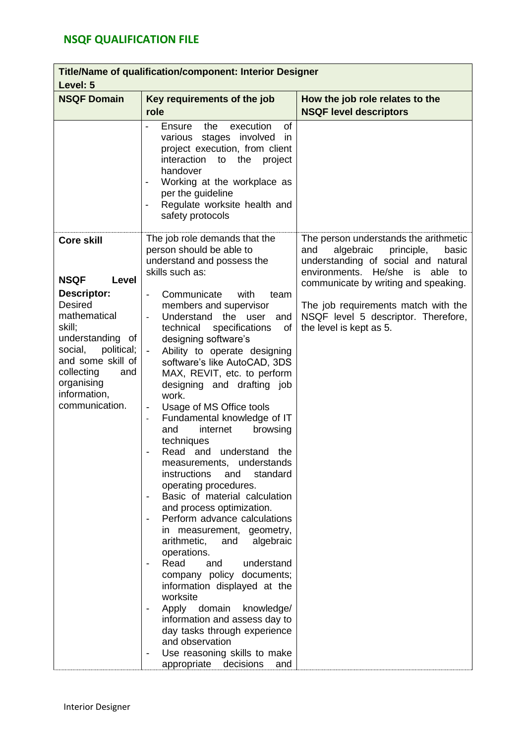| Title/Name of qualification/component: Interior Designer<br>Level: 5                                                                                                                                                                                  |                                                                                                                                                                                                                                                                                                                                                                                                                                                                                                                                                                                                                                                                                                                                                                                                                                                                                                                                                                                                                                                                                                                                                                                                   |                                                                                                                                                                                                                                                                                                                      |  |  |
|-------------------------------------------------------------------------------------------------------------------------------------------------------------------------------------------------------------------------------------------------------|---------------------------------------------------------------------------------------------------------------------------------------------------------------------------------------------------------------------------------------------------------------------------------------------------------------------------------------------------------------------------------------------------------------------------------------------------------------------------------------------------------------------------------------------------------------------------------------------------------------------------------------------------------------------------------------------------------------------------------------------------------------------------------------------------------------------------------------------------------------------------------------------------------------------------------------------------------------------------------------------------------------------------------------------------------------------------------------------------------------------------------------------------------------------------------------------------|----------------------------------------------------------------------------------------------------------------------------------------------------------------------------------------------------------------------------------------------------------------------------------------------------------------------|--|--|
| <b>NSQF Domain</b>                                                                                                                                                                                                                                    | Key requirements of the job<br>role                                                                                                                                                                                                                                                                                                                                                                                                                                                                                                                                                                                                                                                                                                                                                                                                                                                                                                                                                                                                                                                                                                                                                               | How the job role relates to the<br><b>NSQF level descriptors</b>                                                                                                                                                                                                                                                     |  |  |
|                                                                                                                                                                                                                                                       | the<br>execution<br><b>of</b><br>Ensure<br>stages involved<br>various<br>in<br>project execution, from client<br>interaction<br>to<br>the<br>project<br>handover<br>Working at the workplace as<br>$\qquad \qquad \blacksquare$<br>per the guideline<br>Regulate worksite health and<br>Ē,<br>safety protocols                                                                                                                                                                                                                                                                                                                                                                                                                                                                                                                                                                                                                                                                                                                                                                                                                                                                                    |                                                                                                                                                                                                                                                                                                                      |  |  |
| <b>Core skill</b><br><b>NSQF</b><br>Level<br><b>Descriptor:</b><br><b>Desired</b><br>mathematical<br>skill;<br>understanding<br>0f<br>political;<br>social,<br>and some skill of<br>collecting<br>and<br>organising<br>information,<br>communication. | The job role demands that the<br>person should be able to<br>understand and possess the<br>skills such as:<br>Communicate<br>with<br>team<br>members and supervisor<br>Understand the<br>user<br>and<br>technical<br>specifications<br>of<br>designing software's<br>Ability to operate designing<br>software's like AutoCAD, 3DS<br>MAX, REVIT, etc. to perform<br>designing and drafting job<br>work.<br>Usage of MS Office tools<br>$\overline{\phantom{a}}$<br>Fundamental knowledge of IT<br>$\blacksquare$<br>browsing<br>and<br>internet<br>techniques<br>Read and<br>understand<br>the<br>measurements,<br>understands<br>instructions<br>standard<br>and<br>operating procedures.<br>Basic of material calculation<br>and process optimization.<br>Perform advance calculations<br>in measurement,<br>geometry,<br>arithmetic,<br>and<br>algebraic<br>operations.<br>Read<br>understand<br>and<br>company policy documents;<br>information displayed at the<br>worksite<br>Apply domain<br>knowledge/<br>information and assess day to<br>day tasks through experience<br>and observation<br>Use reasoning skills to make<br>$\overline{\phantom{a}}$<br>appropriate<br>decisions<br>and | The person understands the arithmetic<br>algebraic<br>principle,<br>and<br>basic<br>understanding of social and natural<br>environments. He/she<br>able<br>is<br>to<br>communicate by writing and speaking.<br>The job requirements match with the<br>NSQF level 5 descriptor. Therefore,<br>the level is kept as 5. |  |  |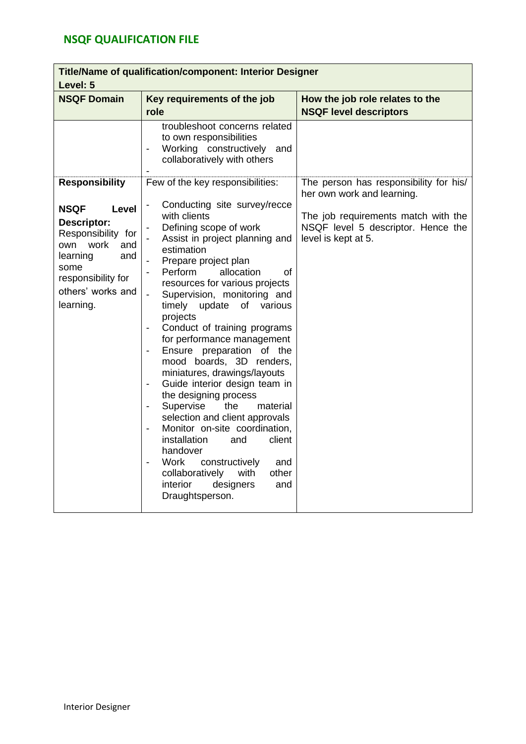| Title/Name of qualification/component: Interior Designer<br>Level: 5                                                   |                                                                                                                                                                                                                                                                                                                                                                                                                                                                                                                                                                                                                                                                                                                                                    |                                                                                                                                                                          |  |  |
|------------------------------------------------------------------------------------------------------------------------|----------------------------------------------------------------------------------------------------------------------------------------------------------------------------------------------------------------------------------------------------------------------------------------------------------------------------------------------------------------------------------------------------------------------------------------------------------------------------------------------------------------------------------------------------------------------------------------------------------------------------------------------------------------------------------------------------------------------------------------------------|--------------------------------------------------------------------------------------------------------------------------------------------------------------------------|--|--|
| <b>NSQF Domain</b>                                                                                                     | Key requirements of the job<br>role                                                                                                                                                                                                                                                                                                                                                                                                                                                                                                                                                                                                                                                                                                                | How the job role relates to the<br><b>NSQF level descriptors</b>                                                                                                         |  |  |
| <b>Responsibility</b><br><b>NSQF</b><br><b>Level</b><br><b>Descriptor:</b><br>Responsibility for<br>work<br>and<br>own | troubleshoot concerns related<br>to own responsibilities<br>Working constructively<br>and<br>collaboratively with others<br>Few of the key responsibilities:<br>Conducting site survey/recce<br>with clients<br>Defining scope of work<br>Assist in project planning and<br>estimation                                                                                                                                                                                                                                                                                                                                                                                                                                                             | The person has responsibility for his/<br>her own work and learning.<br>The job requirements match with the<br>NSQF level 5 descriptor. Hence the<br>level is kept at 5. |  |  |
| and<br>learning<br>some<br>responsibility for<br>others' works and<br>learning.                                        | Prepare project plan<br>Perform<br>allocation<br>οf<br>resources for various projects<br>Supervision, monitoring and<br>$\overline{\phantom{0}}$<br>update<br>timely<br>of<br>various<br>projects<br>Conduct of training programs<br>for performance management<br>Ensure preparation of the<br>mood boards, 3D renders,<br>miniatures, drawings/layouts<br>Guide interior design team in<br>the designing process<br>Supervise<br>the<br>material<br>$\overline{\phantom{0}}$<br>selection and client approvals<br>Monitor on-site coordination,<br>installation<br>and<br>client<br>handover<br>constructively<br>Work<br>and<br>$\overline{\phantom{a}}$<br>collaboratively<br>with<br>other<br>interior<br>designers<br>and<br>Draughtsperson. |                                                                                                                                                                          |  |  |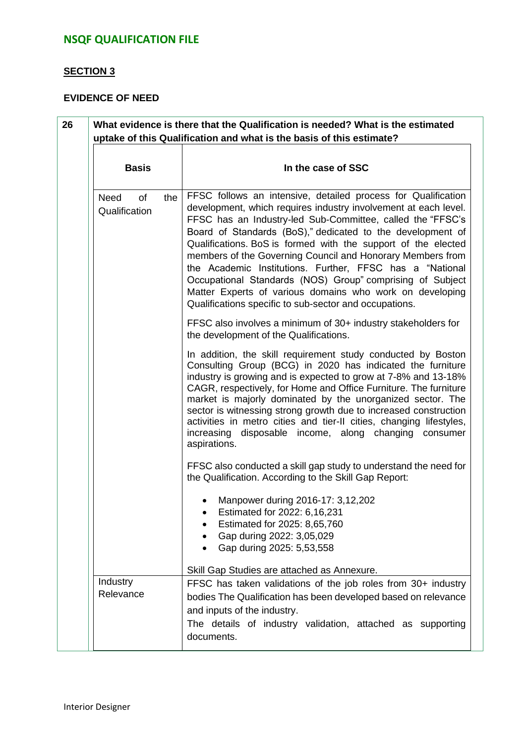### **SECTION 3**

### **EVIDENCE OF NEED**

| <b>Basis</b>                              |     | In the case of SSC                                                                                                                                                                                                                                                                                                                                                                                                                                                                                                                                                                                                                         |  |
|-------------------------------------------|-----|--------------------------------------------------------------------------------------------------------------------------------------------------------------------------------------------------------------------------------------------------------------------------------------------------------------------------------------------------------------------------------------------------------------------------------------------------------------------------------------------------------------------------------------------------------------------------------------------------------------------------------------------|--|
| <b>Need</b><br><b>of</b><br>Qualification | the | FFSC follows an intensive, detailed process for Qualification<br>development, which requires industry involvement at each level.<br>FFSC has an Industry-led Sub-Committee, called the "FFSC's<br>Board of Standards (BoS)," dedicated to the development of<br>Qualifications. BoS is formed with the support of the elected<br>members of the Governing Council and Honorary Members from<br>the Academic Institutions. Further, FFSC has a "National<br>Occupational Standards (NOS) Group" comprising of Subject<br>Matter Experts of various domains who work on developing<br>Qualifications specific to sub-sector and occupations. |  |
|                                           |     | FFSC also involves a minimum of 30+ industry stakeholders for<br>the development of the Qualifications.                                                                                                                                                                                                                                                                                                                                                                                                                                                                                                                                    |  |
|                                           |     | In addition, the skill requirement study conducted by Boston<br>Consulting Group (BCG) in 2020 has indicated the furniture<br>industry is growing and is expected to grow at 7-8% and 13-18%<br>CAGR, respectively, for Home and Office Furniture. The furniture<br>market is majorly dominated by the unorganized sector. The<br>sector is witnessing strong growth due to increased construction<br>activities in metro cities and tier-II cities, changing lifestyles,<br>increasing disposable income, along changing consumer<br>aspirations.                                                                                         |  |
|                                           |     | FFSC also conducted a skill gap study to understand the need for<br>the Qualification. According to the Skill Gap Report:                                                                                                                                                                                                                                                                                                                                                                                                                                                                                                                  |  |
|                                           |     | Manpower during 2016-17: 3,12,202<br>Estimated for 2022: 6,16,231<br>Estimated for 2025: 8,65,760<br>Gap during 2022: 3,05,029<br>Gap during 2025: 5,53,558                                                                                                                                                                                                                                                                                                                                                                                                                                                                                |  |
| Industry                                  |     | Skill Gap Studies are attached as Annexure.<br>FFSC has taken validations of the job roles from 30+ industry                                                                                                                                                                                                                                                                                                                                                                                                                                                                                                                               |  |
| Relevance                                 |     | bodies The Qualification has been developed based on relevance<br>and inputs of the industry.<br>The details of industry validation, attached as supporting<br>documents.                                                                                                                                                                                                                                                                                                                                                                                                                                                                  |  |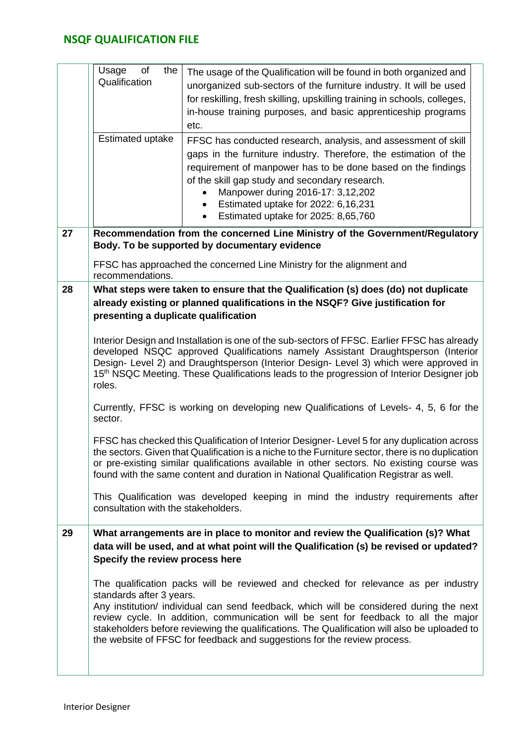|    | the<br>Usage<br>of<br>Qualification<br>Estimated uptake                                          | The usage of the Qualification will be found in both organized and<br>unorganized sub-sectors of the furniture industry. It will be used<br>for reskilling, fresh skilling, upskilling training in schools, colleges,<br>in-house training purposes, and basic apprenticeship programs<br>etc.<br>FFSC has conducted research, analysis, and assessment of skill<br>gaps in the furniture industry. Therefore, the estimation of the<br>requirement of manpower has to be done based on the findings<br>of the skill gap study and secondary research.<br>Manpower during 2016-17: 3,12,202<br>Estimated uptake for 2022: 6,16,231<br>$\bullet$<br>Estimated uptake for 2025: 8,65,760<br>$\bullet$                                                                                                                                                                                                                                                                                                                                                                                                                                 |
|----|--------------------------------------------------------------------------------------------------|-------------------------------------------------------------------------------------------------------------------------------------------------------------------------------------------------------------------------------------------------------------------------------------------------------------------------------------------------------------------------------------------------------------------------------------------------------------------------------------------------------------------------------------------------------------------------------------------------------------------------------------------------------------------------------------------------------------------------------------------------------------------------------------------------------------------------------------------------------------------------------------------------------------------------------------------------------------------------------------------------------------------------------------------------------------------------------------------------------------------------------------|
| 27 |                                                                                                  | Recommendation from the concerned Line Ministry of the Government/Regulatory<br>Body. To be supported by documentary evidence                                                                                                                                                                                                                                                                                                                                                                                                                                                                                                                                                                                                                                                                                                                                                                                                                                                                                                                                                                                                       |
|    | recommendations.                                                                                 | FFSC has approached the concerned Line Ministry for the alignment and                                                                                                                                                                                                                                                                                                                                                                                                                                                                                                                                                                                                                                                                                                                                                                                                                                                                                                                                                                                                                                                               |
| 28 | presenting a duplicate qualification<br>roles.<br>sector.<br>consultation with the stakeholders. | What steps were taken to ensure that the Qualification (s) does (do) not duplicate<br>already existing or planned qualifications in the NSQF? Give justification for<br>Interior Design and Installation is one of the sub-sectors of FFSC. Earlier FFSC has already<br>developed NSQC approved Qualifications namely Assistant Draughtsperson (Interior<br>Design- Level 2) and Draughtsperson (Interior Design- Level 3) which were approved in<br>15 <sup>th</sup> NSQC Meeting. These Qualifications leads to the progression of Interior Designer job<br>Currently, FFSC is working on developing new Qualifications of Levels- 4, 5, 6 for the<br>FFSC has checked this Qualification of Interior Designer- Level 5 for any duplication across<br>the sectors. Given that Qualification is a niche to the Furniture sector, there is no duplication<br>or pre-existing similar qualifications available in other sectors. No existing course was<br>found with the same content and duration in National Qualification Registrar as well.<br>This Qualification was developed keeping in mind the industry requirements after |
| 29 | Specify the review process here<br>standards after 3 years.                                      | What arrangements are in place to monitor and review the Qualification (s)? What<br>data will be used, and at what point will the Qualification (s) be revised or updated?<br>The qualification packs will be reviewed and checked for relevance as per industry<br>Any institution/ individual can send feedback, which will be considered during the next<br>review cycle. In addition, communication will be sent for feedback to all the major<br>stakeholders before reviewing the qualifications. The Qualification will also be uploaded to<br>the website of FFSC for feedback and suggestions for the review process.                                                                                                                                                                                                                                                                                                                                                                                                                                                                                                      |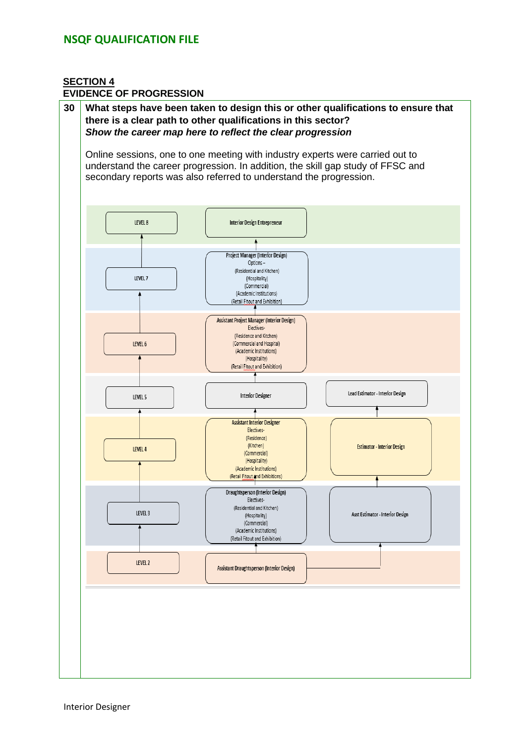#### **SECTION 4 EVIDENCE OF PROGRESSION**